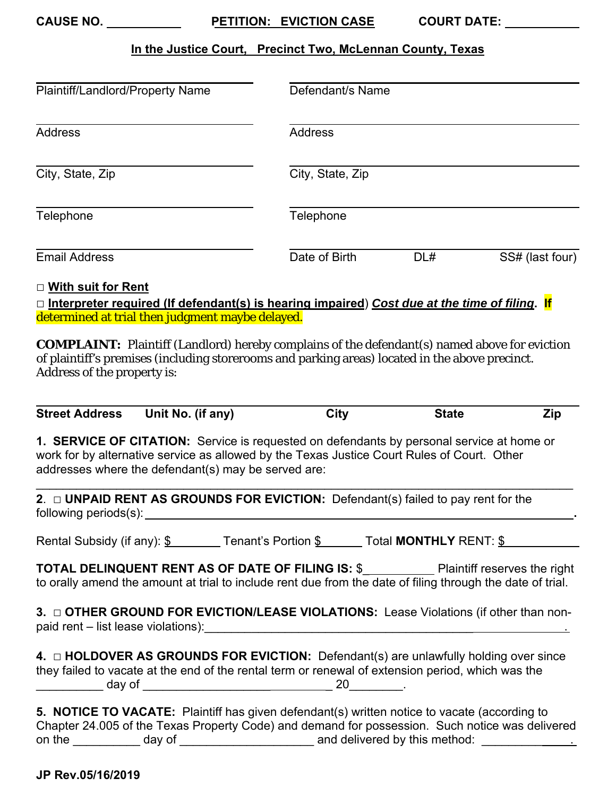**CAUSE NO.** The state of the state of the state of the state of the state of the state of the state of the state of the state of the state of the state of the state of the state of the state of the state of the state of th

PETITION: EVICTION CASE COURT DATE:

## **In the Justice Court, Precinct Two, McLennan County, Texas**

| Plaintiff/Landlord/Property Name                                                                                                                 |                  | Defendant/s Name |                 |  |  |
|--------------------------------------------------------------------------------------------------------------------------------------------------|------------------|------------------|-----------------|--|--|
| <b>Address</b>                                                                                                                                   | <b>Address</b>   |                  |                 |  |  |
| City, State, Zip                                                                                                                                 | City, State, Zip |                  |                 |  |  |
| Telephone                                                                                                                                        | Telephone        |                  |                 |  |  |
| <b>Email Address</b>                                                                                                                             | Date of Birth    | DL#              | SS# (last four) |  |  |
| □ With suit for Rent<br>$\Box$ Internreter required (If defendent(s) is hearing impaired) Cost due at the time of filing $\overline{\mathbf{F}}$ |                  |                  |                 |  |  |

□ **Interpreter required (If defendant(s) is hearing impaired**) *Cost due at the time of filing***. If**  determined at trial then judgment maybe delayed.

**COMPLAINT:** Plaintiff (Landlord) hereby complains of the defendant(s) named above for eviction of plaintiff's premises (including storerooms and parking areas) located in the above precinct. Address of the property is:

| <b>Street Address</b> | Unit No. (if any) | City | State |  |
|-----------------------|-------------------|------|-------|--|

**1. SERVICE OF CITATION:** Service is requested on defendants by personal service at home or work for by alternative service as allowed by the Texas Justice Court Rules of Court. Other addresses where the defendant(s) may be served are:

 $\mathcal{L}_\mathcal{L} = \mathcal{L}_\mathcal{L} = \mathcal{L}_\mathcal{L} = \mathcal{L}_\mathcal{L} = \mathcal{L}_\mathcal{L} = \mathcal{L}_\mathcal{L} = \mathcal{L}_\mathcal{L} = \mathcal{L}_\mathcal{L} = \mathcal{L}_\mathcal{L} = \mathcal{L}_\mathcal{L} = \mathcal{L}_\mathcal{L} = \mathcal{L}_\mathcal{L} = \mathcal{L}_\mathcal{L} = \mathcal{L}_\mathcal{L} = \mathcal{L}_\mathcal{L} = \mathcal{L}_\mathcal{L} = \mathcal{L}_\mathcal{L}$ 

 following periods(s): **. 2.** □ **UNPAID RENT AS GROUNDS FOR EVICTION:** Defendant(s) failed to pay rent for the

Rental Subsidy (if any): <u>\$</u> \_\_\_\_\_\_\_ Tenant's Portion <u>\$ \_\_\_\_\_</u> Total **MONTHLY** RENT: <u>\$</u>

**TOTAL DELINQUENT RENT AS OF DATE OF FILING IS: \$\_\_\_\_\_\_\_\_\_\_\_\_\_** Plaintiff reserves the right to orally amend the amount at trial to include rent due from the date of filing through the date of trial.

 **3.** □ **OTHER GROUND FOR EVICTION/LEASE VIOLATIONS:** Lease Violations (if other than nonpaid rent – list lease violations):\_\_\_\_\_\_\_\_\_\_\_\_\_\_\_\_\_\_\_\_\_\_\_\_\_\_\_\_\_\_\_\_\_\_\_\_\_\_\_\_ .

**4.** □ HOLDOVER AS GROUNDS FOR EVICTION: Defendant(s) are unlawfully holding over since they failed to vacate at the end of the rental term or renewal of extension period, which was the \_\_\_\_\_\_\_\_\_\_ day of \_\_\_\_\_\_\_\_\_\_\_\_\_\_\_\_\_\_\_ \_ 20\_\_\_\_\_\_\_\_.

|        |        | 5. NOTICE TO VACATE: Plaintiff has given defendant(s) written notice to vacate (according to    |
|--------|--------|-------------------------------------------------------------------------------------------------|
|        |        | Chapter 24.005 of the Texas Property Code) and demand for possession. Such notice was delivered |
| on the | day of | and delivered by this method:                                                                   |